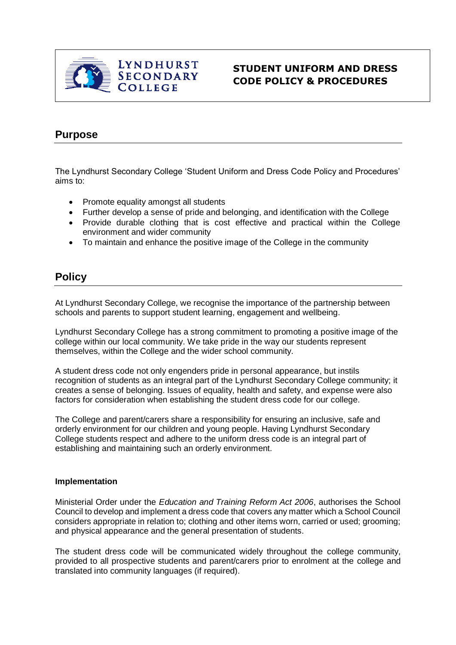

## **STUDENT UNIFORM AND DRESS CODE POLICY & PROCEDURES**

# **Purpose**

The Lyndhurst Secondary College 'Student Uniform and Dress Code Policy and Procedures' aims to:

- Promote equality amongst all students
- Further develop a sense of pride and belonging, and identification with the College
- Provide durable clothing that is cost effective and practical within the College environment and wider community
- To maintain and enhance the positive image of the College in the community

## **Policy**

At Lyndhurst Secondary College, we recognise the importance of the partnership between schools and parents to support student learning, engagement and wellbeing.

Lyndhurst Secondary College has a strong commitment to promoting a positive image of the college within our local community. We take pride in the way our students represent themselves, within the College and the wider school community.

A student dress code not only engenders pride in personal appearance, but instils recognition of students as an integral part of the Lyndhurst Secondary College community; it creates a sense of belonging. Issues of equality, health and safety, and expense were also factors for consideration when establishing the student dress code for our college.

The College and parent/carers share a responsibility for ensuring an inclusive, safe and orderly environment for our children and young people. Having Lyndhurst Secondary College students respect and adhere to the uniform dress code is an integral part of establishing and maintaining such an orderly environment.

#### **Implementation**

Ministerial Order under the *Education and Training Reform Act 2006*, authorises the School Council to develop and implement a dress code that covers any matter which a School Council considers appropriate in relation to; clothing and other items worn, carried or used; grooming; and physical appearance and the general presentation of students.

The student dress code will be communicated widely throughout the college community, provided to all prospective students and parent/carers prior to enrolment at the college and translated into community languages (if required).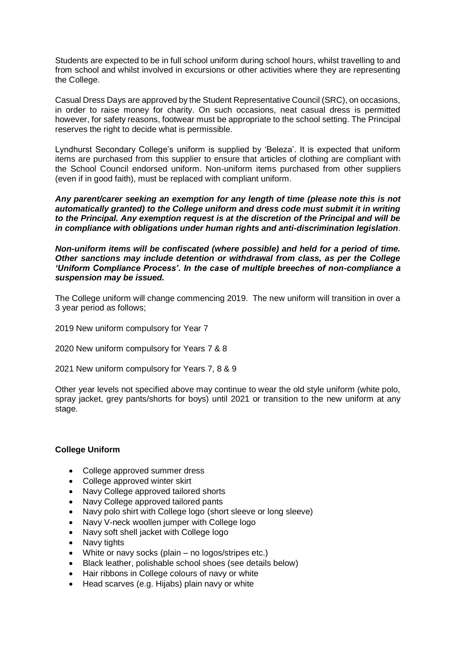Students are expected to be in full school uniform during school hours, whilst travelling to and from school and whilst involved in excursions or other activities where they are representing the College.

Casual Dress Days are approved by the Student Representative Council (SRC), on occasions, in order to raise money for charity. On such occasions, neat casual dress is permitted however, for safety reasons, footwear must be appropriate to the school setting. The Principal reserves the right to decide what is permissible.

Lyndhurst Secondary College's uniform is supplied by 'Beleza'. It is expected that uniform items are purchased from this supplier to ensure that articles of clothing are compliant with the School Council endorsed uniform. Non-uniform items purchased from other suppliers (even if in good faith), must be replaced with compliant uniform.

*Any parent/carer seeking an exemption for any length of time (please note this is not automatically granted) to the College uniform and dress code must submit it in writing to the Principal. Any exemption request is at the discretion of the Principal and will be in compliance with obligations under human rights and anti-discrimination legislation*.

*Non-uniform items will be confiscated (where possible) and held for a period of time. Other sanctions may include detention or withdrawal from class, as per the College 'Uniform Compliance Process'. In the case of multiple breeches of non-compliance a suspension may be issued.*

The College uniform will change commencing 2019. The new uniform will transition in over a 3 year period as follows;

2019 New uniform compulsory for Year 7

2020 New uniform compulsory for Years 7 & 8

2021 New uniform compulsory for Years 7, 8 & 9

Other year levels not specified above may continue to wear the old style uniform (white polo, spray jacket, grey pants/shorts for boys) until 2021 or transition to the new uniform at any stage.

## **College Uniform**

- College approved summer dress
- College approved winter skirt
- Navy College approved tailored shorts
- Navy College approved tailored pants
- Navy polo shirt with College logo (short sleeve or long sleeve)
- Navy V-neck woollen jumper with College logo
- Navy soft shell jacket with College logo
- Navy tights
- White or navy socks (plain no logos/stripes etc.)
- Black leather, polishable school shoes (see details below)
- Hair ribbons in College colours of navy or white
- Head scarves (e.g. Hijabs) plain navy or white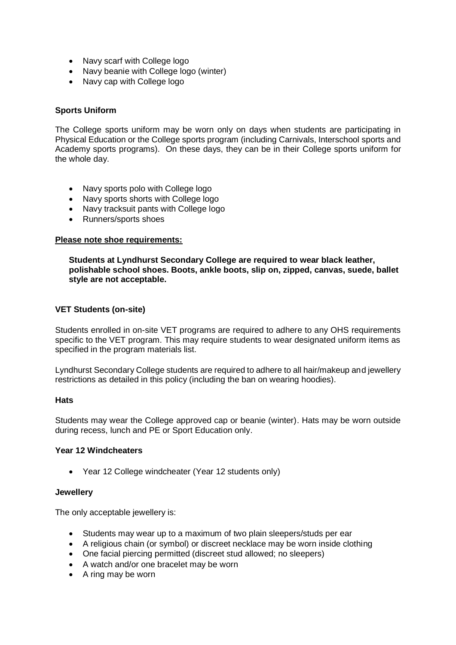- Navy scarf with College logo
- Navy beanie with College logo (winter)
- Navy cap with College logo

## **Sports Uniform**

The College sports uniform may be worn only on days when students are participating in Physical Education or the College sports program (including Carnivals, Interschool sports and Academy sports programs). On these days, they can be in their College sports uniform for the whole day.

- Navy sports polo with College logo
- Navy sports shorts with College logo
- Navy tracksuit pants with College logo
- Runners/sports shoes

#### **Please note shoe requirements:**

**Students at Lyndhurst Secondary College are required to wear black leather, polishable school shoes. Boots, ankle boots, slip on, zipped, canvas, suede, ballet style are not acceptable.**

#### **VET Students (on-site)**

Students enrolled in on-site VET programs are required to adhere to any OHS requirements specific to the VET program. This may require students to wear designated uniform items as specified in the program materials list.

Lyndhurst Secondary College students are required to adhere to all hair/makeup and jewellery restrictions as detailed in this policy (including the ban on wearing hoodies).

#### **Hats**

Students may wear the College approved cap or beanie (winter). Hats may be worn outside during recess, lunch and PE or Sport Education only.

#### **Year 12 Windcheaters**

• Year 12 College windcheater (Year 12 students only)

#### **Jewellery**

The only acceptable jewellery is:

- Students may wear up to a maximum of two plain sleepers/studs per ear
- A religious chain (or symbol) or discreet necklace may be worn inside clothing
- One facial piercing permitted (discreet stud allowed; no sleepers)
- A watch and/or one bracelet may be worn
- A ring may be worn